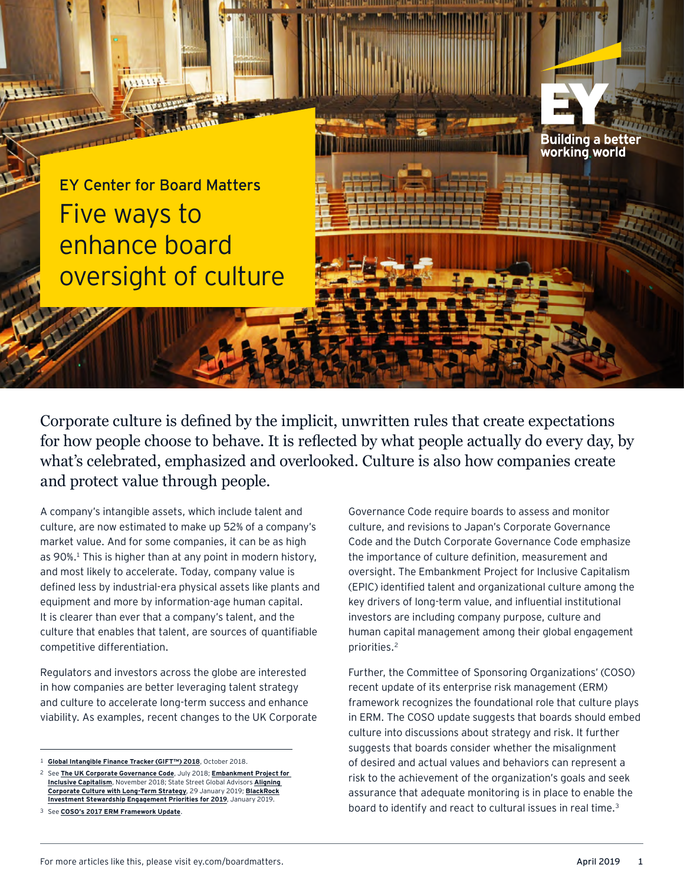Five ways to enhance board oversight of culture EY Center for Board Matters

Corporate culture is defined by the implicit, unwritten rules that create expectations for how people choose to behave. It is reflected by what people actually do every day, by what's celebrated, emphasized and overlooked. Culture is also how companies create and protect value through people.

A company's intangible assets, which include talent and culture, are now estimated to make up 52% of a company's market value. And for some companies, it can be as high as 90%.<sup>1</sup> This is higher than at any point in modern history, and most likely to accelerate. Today, company value is defined less by industrial-era physical assets like plants and equipment and more by information-age human capital. It is clearer than ever that a company's talent, and the culture that enables that talent, are sources of quantifiable competitive differentiation.

Regulators and investors across the globe are interested in how companies are better leveraging talent strategy and culture to accelerate long-term success and enhance viability. As examples, recent changes to the UK Corporate

Governance Code require boards to assess and monitor culture, and revisions to Japan's Corporate Governance Code and the Dutch Corporate Governance Code emphasize the importance of culture definition, measurement and oversight. The Embankment Project for Inclusive Capitalism (EPIC) identified talent and organizational culture among the key drivers of long-term value, and influential institutional investors are including company purpose, culture and human capital management among their global engagement priorities.2

Further, the Committee of Sponsoring Organizations' (COSO) recent update of its enterprise risk management (ERM) framework recognizes the foundational role that culture plays in ERM. The COSO update suggests that boards should embed culture into discussions about strategy and risk. It further suggests that boards consider whether the misalignment of desired and actual values and behaviors can represent a risk to the achievement of the organization's goals and seek assurance that adequate monitoring is in place to enable the board to identify and react to cultural issues in real time.<sup>3</sup>

Building a better working world

<sup>1</sup> **[Global Intangible Finance Tracker \(GIFT™\) 2018](https://brandfinance.com/knowledge-centre/whitepapers/global-intangible-finance-tracker-gift-2018/)**, October 2018.

<sup>2</sup> See **[The UK Corporate Governance Code](https://www.frc.org.uk/getattachment/88bd8c45-50ea-4841-95b0-d2f4f48069a2/2018-UK-Corporate-Governance-Code-FINAL.pdf)**, July 2018; **[Embankment Project for](https://www.epic-value.com/)  [Inclusive Capitalism](https://www.epic-value.com/)**, November 2018; State Street Global Advisors **[Aligning](https://www.ssga.com/blog/2019/01/aligning-corporate-culture-with-long-term-strategy.html)  [Corporate Culture with Long-Term Strategy](https://www.ssga.com/blog/2019/01/aligning-corporate-culture-with-long-term-strategy.html)**, 29 January 2019; **BlackRock [Investment Stewardship Engagement Priorities for 2019](https://www.blackrock.com/corporate/literature/publication/blk-stewardship-priorities-final.pdf)**, January 2019.

<sup>3</sup> See **[COSO's 2017 ERM Framework Update](https://www.coso.org/Pages/default.aspx)**.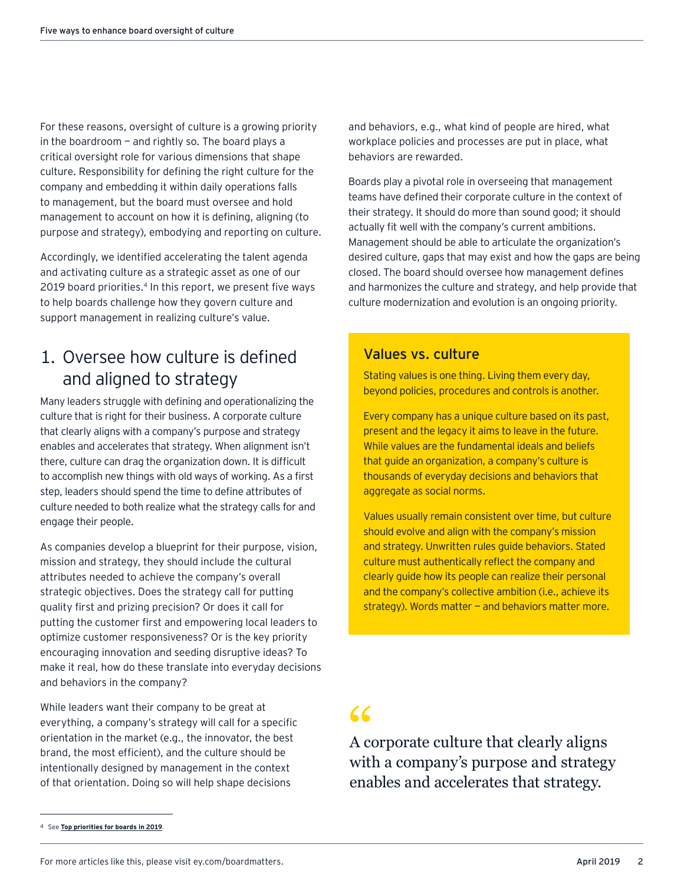For these reasons, oversight of culture is a growing priority in the boardroom  $-$  and rightly so. The board plays a critical oversight role for various dimensions that shape culture. Responsibility for defining the right culture for the company and embedding it within daily operations falls to management, but the board must oversee and hold management to account on how it is defining, aligning (to purpose and strategy), embodying and reporting on culture.

Accordingly, we identified accelerating the talent agenda and activating culture as a strategic asset as one of our 2019 board priorities.<sup>4</sup> In this report, we present five ways to help boards challenge how they govern culture and support management in realizing culture's value.

# 1. Oversee how culture is defined and aligned to strategy

Many leaders struggle with defining and operationalizing the culture that is right for their business. A corporate culture that clearly aligns with a company's purpose and strategy enables and accelerates that strategy. When alignment isn't there, culture can drag the organization down. It is difficult to accomplish new things with old ways of working. As a first step, leaders should spend the time to define attributes of culture needed to both realize what the strategy calls for and engage their people.

As companies develop a blueprint for their purpose, vision, mission and strategy, they should include the cultural attributes needed to achieve the company's overall strategic objectives. Does the strategy call for putting quality first and prizing precision? Or does it call for putting the customer first and empowering local leaders to optimize customer responsiveness? Or is the key priority encouraging innovation and seeding disruptive ideas? To make it real, how do these translate into everyday decisions and behaviors in the company?

While leaders want their company to be great at everything, a company's strategy will call for a specific orientation in the market (e.g., the innovator, the best brand, the most efficient), and the culture should be intentionally designed by management in the context of that orientation. Doing so will help shape decisions

4 See **[Top priorities for boards in 2019](https://www.ey.com/us/en/issues/governance-and-reporting/ey-top-priorities-for-us-boards-in-2019?utm_source=sampcl&utm_medium=email&utm_campaign=US_top_priorities_for_us_boards_in_2019)**.

and behaviors, e.g., what kind of people are hired, what workplace policies and processes are put in place, what behaviors are rewarded.

Boards play a pivotal role in overseeing that management teams have defined their corporate culture in the context of their strategy. It should do more than sound good; it should actually fit well with the company's current ambitions. Management should be able to articulate the organization's desired culture, gaps that may exist and how the gaps are being closed. The board should oversee how management defines and harmonizes the culture and strategy, and help provide that culture modernization and evolution is an ongoing priority.

### Values vs. culture

Stating values is one thing. Living them every day, beyond policies, procedures and controls is another.

Every company has a unique culture based on its past, present and the legacy it aims to leave in the future. While values are the fundamental ideals and beliefs that guide an organization, a company's culture is thousands of everyday decisions and behaviors that aggregate as social norms.

Values usually remain consistent over time, but culture should evolve and align with the company's mission and strategy. Unwritten rules guide behaviors. Stated culture must authentically reflect the company and clearly guide how its people can realize their personal and the company's collective ambition (i.e., achieve its strategy). Words matter  $-$  and behaviors matter more.

A corporate culture that clearly aligns with a company's purpose and strategy enables and accelerates that strategy.  $\begin{array}{c} 66 \\ A \text{ cc} \\ \text{with} \end{array}$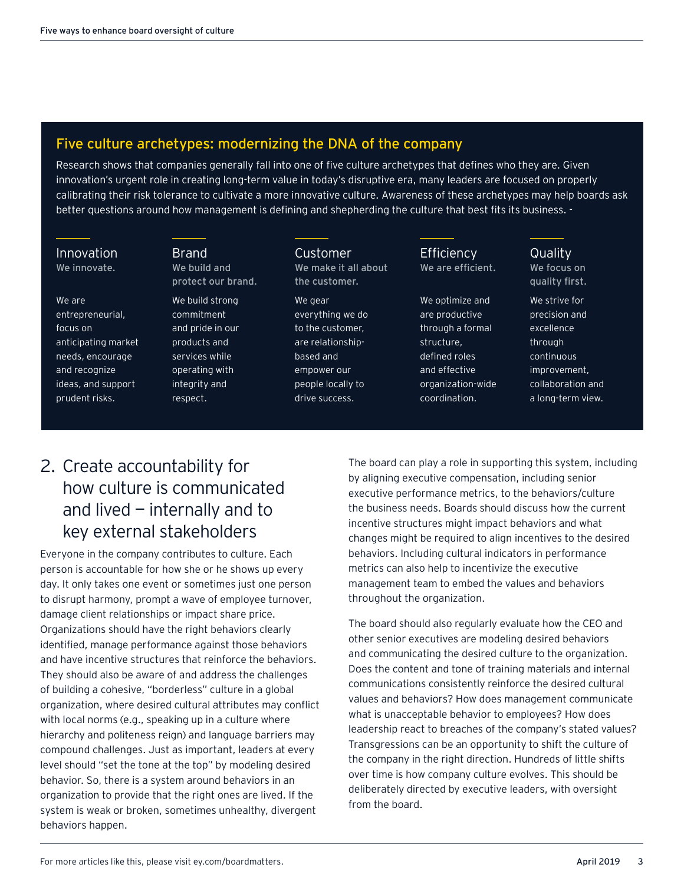## Five culture archetypes: modernizing the DNA of the company

Research shows that companies generally fall into one of five culture archetypes that defines who they are. Given innovation's urgent role in creating long-term value in today's disruptive era, many leaders are focused on properly calibrating their risk tolerance to cultivate a more innovative culture. Awareness of these archetypes may help boards ask better questions around how management is defining and shepherding the culture that best fits its business. -

### Innovation We innovate.

### We are

entrepreneurial, focus on anticipating market needs, encourage and recognize ideas, and support prudent risks.

Brand We build and protect our brand.

### We build strong commitment and pride in our products and services while operating with integrity and respect.

Customer We make it all about the customer.

> We gear everything we do to the customer, are relationshipbased and empower our people locally to drive success.

**Efficiency** We are efficient.

We optimize and are productive through a formal structure, defined roles and effective organization-wide coordination.

**Quality** We focus on quality first.

We strive for precision and excellence through continuous improvement, collaboration and a long-term view.

# 2. Create accountability for how culture is communicated and lived — internally and to key external stakeholders

Everyone in the company contributes to culture. Each person is accountable for how she or he shows up every day. It only takes one event or sometimes just one person to disrupt harmony, prompt a wave of employee turnover, damage client relationships or impact share price. Organizations should have the right behaviors clearly identified, manage performance against those behaviors and have incentive structures that reinforce the behaviors. They should also be aware of and address the challenges of building a cohesive, "borderless" culture in a global organization, where desired cultural attributes may conflict with local norms (e.g., speaking up in a culture where hierarchy and politeness reign) and language barriers may compound challenges. Just as important, leaders at every level should "set the tone at the top" by modeling desired behavior. So, there is a system around behaviors in an organization to provide that the right ones are lived. If the system is weak or broken, sometimes unhealthy, divergent behaviors happen.

The board can play a role in supporting this system, including by aligning executive compensation, including senior executive performance metrics, to the behaviors/culture the business needs. Boards should discuss how the current incentive structures might impact behaviors and what changes might be required to align incentives to the desired behaviors. Including cultural indicators in performance metrics can also help to incentivize the executive management team to embed the values and behaviors throughout the organization.

The board should also regularly evaluate how the CEO and other senior executives are modeling desired behaviors and communicating the desired culture to the organization. Does the content and tone of training materials and internal communications consistently reinforce the desired cultural values and behaviors? How does management communicate what is unacceptable behavior to employees? How does leadership react to breaches of the company's stated values? Transgressions can be an opportunity to shift the culture of the company in the right direction. Hundreds of little shifts over time is how company culture evolves. This should be deliberately directed by executive leaders, with oversight from the board.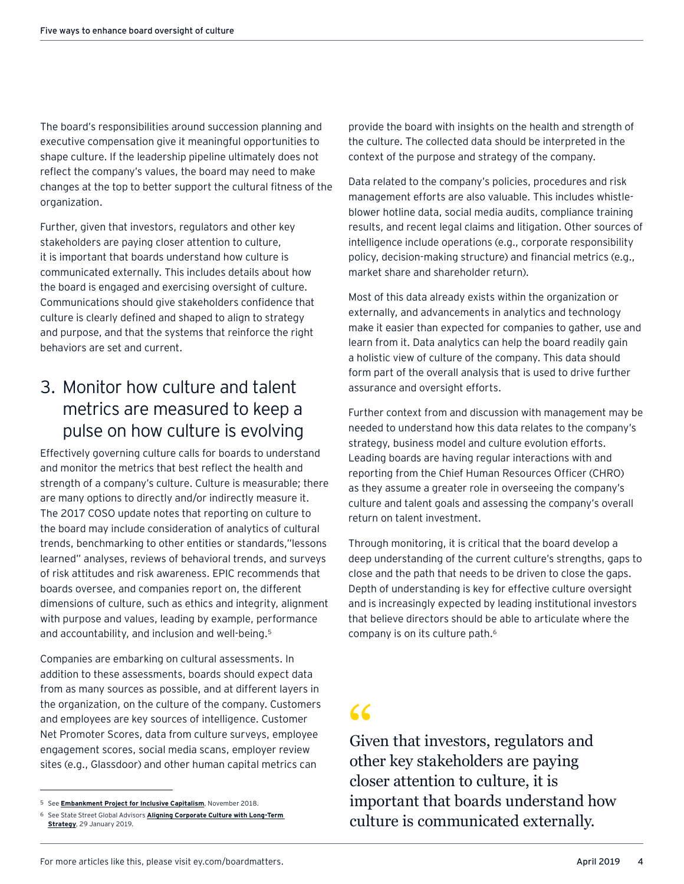The board's responsibilities around succession planning and executive compensation give it meaningful opportunities to shape culture. If the leadership pipeline ultimately does not reflect the company's values, the board may need to make changes at the top to better support the cultural fitness of the organization.

Further, given that investors, regulators and other key stakeholders are paying closer attention to culture, it is important that boards understand how culture is communicated externally. This includes details about how the board is engaged and exercising oversight of culture. Communications should give stakeholders confidence that culture is clearly defined and shaped to align to strategy and purpose, and that the systems that reinforce the right behaviors are set and current.

## 3. Monitor how culture and talent metrics are measured to keep a pulse on how culture is evolving

Effectively governing culture calls for boards to understand and monitor the metrics that best reflect the health and strength of a company's culture. Culture is measurable; there are many options to directly and/or indirectly measure it. The 2017 COSO update notes that reporting on culture to the board may include consideration of analytics of cultural trends, benchmarking to other entities or standards,"lessons learned" analyses, reviews of behavioral trends, and surveys of risk attitudes and risk awareness. EPIC recommends that boards oversee, and companies report on, the different dimensions of culture, such as ethics and integrity, alignment with purpose and values, leading by example, performance and accountability, and inclusion and well-being.<sup>5</sup>

Companies are embarking on cultural assessments. In addition to these assessments, boards should expect data from as many sources as possible, and at different layers in the organization, on the culture of the company. Customers and employees are key sources of intelligence. Customer Net Promoter Scores, data from culture surveys, employee engagement scores, social media scans, employer review sites (e.g., Glassdoor) and other human capital metrics can

provide the board with insights on the health and strength of the culture. The collected data should be interpreted in the context of the purpose and strategy of the company.

Data related to the company's policies, procedures and risk management efforts are also valuable. This includes whistleblower hotline data, social media audits, compliance training results, and recent legal claims and litigation. Other sources of intelligence include operations (e.g., corporate responsibility policy, decision-making structure) and financial metrics (e.g., market share and shareholder return).

Most of this data already exists within the organization or externally, and advancements in analytics and technology make it easier than expected for companies to gather, use and learn from it. Data analytics can help the board readily gain a holistic view of culture of the company. This data should form part of the overall analysis that is used to drive further assurance and oversight efforts.

Further context from and discussion with management may be needed to understand how this data relates to the company's strategy, business model and culture evolution efforts. Leading boards are having regular interactions with and reporting from the Chief Human Resources Officer (CHRO) as they assume a greater role in overseeing the company's culture and talent goals and assessing the company's overall return on talent investment.

Through monitoring, it is critical that the board develop a deep understanding of the current culture's strengths, gaps to close and the path that needs to be driven to close the gaps. Depth of understanding is key for effective culture oversight and is increasingly expected by leading institutional investors that believe directors should be able to articulate where the company is on its culture path.6

Given that investors, regulators and other key stakeholders are paying closer attention to culture, it is important that boards understand how culture is communicated externally. 66<br>Given

<sup>5</sup> See **[Embankment Project for Inclusive Capitalism](http://See Embankment Project for Inclusive Capitalism)**, November 2018.

<sup>6</sup> See State Street Global Advisors **[Aligning Corporate Culture with Long-Term](https://www.ssga.com/blog/2019/01/aligning-corporate-culture-with-long-term-strategy.html)  [Strategy](https://www.ssga.com/blog/2019/01/aligning-corporate-culture-with-long-term-strategy.html)**, 29 January 2019.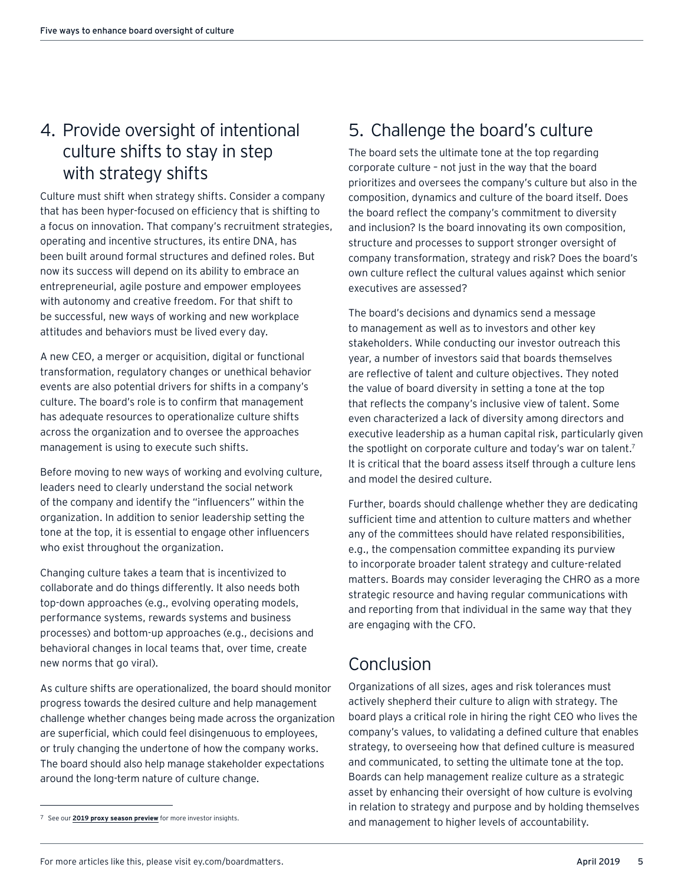# 4. Provide oversight of intentional culture shifts to stay in step with strategy shifts

Culture must shift when strategy shifts. Consider a company that has been hyper-focused on efficiency that is shifting to a focus on innovation. That company's recruitment strategies, operating and incentive structures, its entire DNA, has been built around formal structures and defined roles. But now its success will depend on its ability to embrace an entrepreneurial, agile posture and empower employees with autonomy and creative freedom. For that shift to be successful, new ways of working and new workplace attitudes and behaviors must be lived every day.

A new CEO, a merger or acquisition, digital or functional transformation, regulatory changes or unethical behavior events are also potential drivers for shifts in a company's culture. The board's role is to confirm that management has adequate resources to operationalize culture shifts across the organization and to oversee the approaches management is using to execute such shifts.

Before moving to new ways of working and evolving culture, leaders need to clearly understand the social network of the company and identify the "influencers" within the organization. In addition to senior leadership setting the tone at the top, it is essential to engage other influencers who exist throughout the organization.

Changing culture takes a team that is incentivized to collaborate and do things differently. It also needs both top-down approaches (e.g., evolving operating models, performance systems, rewards systems and business processes) and bottom-up approaches (e.g., decisions and behavioral changes in local teams that, over time, create new norms that go viral).

As culture shifts are operationalized, the board should monitor progress towards the desired culture and help management challenge whether changes being made across the organization are superficial, which could feel disingenuous to employees, or truly changing the undertone of how the company works. The board should also help manage stakeholder expectations around the long-term nature of culture change.

# 5. Challenge the board's culture

The board sets the ultimate tone at the top regarding corporate culture – not just in the way that the board prioritizes and oversees the company's culture but also in the composition, dynamics and culture of the board itself. Does the board reflect the company's commitment to diversity and inclusion? Is the board innovating its own composition, structure and processes to support stronger oversight of company transformation, strategy and risk? Does the board's own culture reflect the cultural values against which senior executives are assessed?

The board's decisions and dynamics send a message to management as well as to investors and other key stakeholders. While conducting our investor outreach this year, a number of investors said that boards themselves are reflective of talent and culture objectives. They noted the value of board diversity in setting a tone at the top that reflects the company's inclusive view of talent. Some even characterized a lack of diversity among directors and executive leadership as a human capital risk, particularly given the spotlight on corporate culture and today's war on talent.<sup>7</sup> It is critical that the board assess itself through a culture lens and model the desired culture.

Further, boards should challenge whether they are dedicating sufficient time and attention to culture matters and whether any of the committees should have related responsibilities, e.g., the compensation committee expanding its purview to incorporate broader talent strategy and culture-related matters. Boards may consider leveraging the CHRO as a more strategic resource and having regular communications with and reporting from that individual in the same way that they are engaging with the CFO.

# Conclusion

Organizations of all sizes, ages and risk tolerances must actively shepherd their culture to align with strategy. The board plays a critical role in hiring the right CEO who lives the company's values, to validating a defined culture that enables strategy, to overseeing how that defined culture is measured and communicated, to setting the ultimate tone at the top. Boards can help management realize culture as a strategic asset by enhancing their oversight of how culture is evolving in relation to strategy and purpose and by holding themselves 7 See our **2019 proxy season preview** for more investor insights. **7 Accountability** and management to higher levels of accountability.